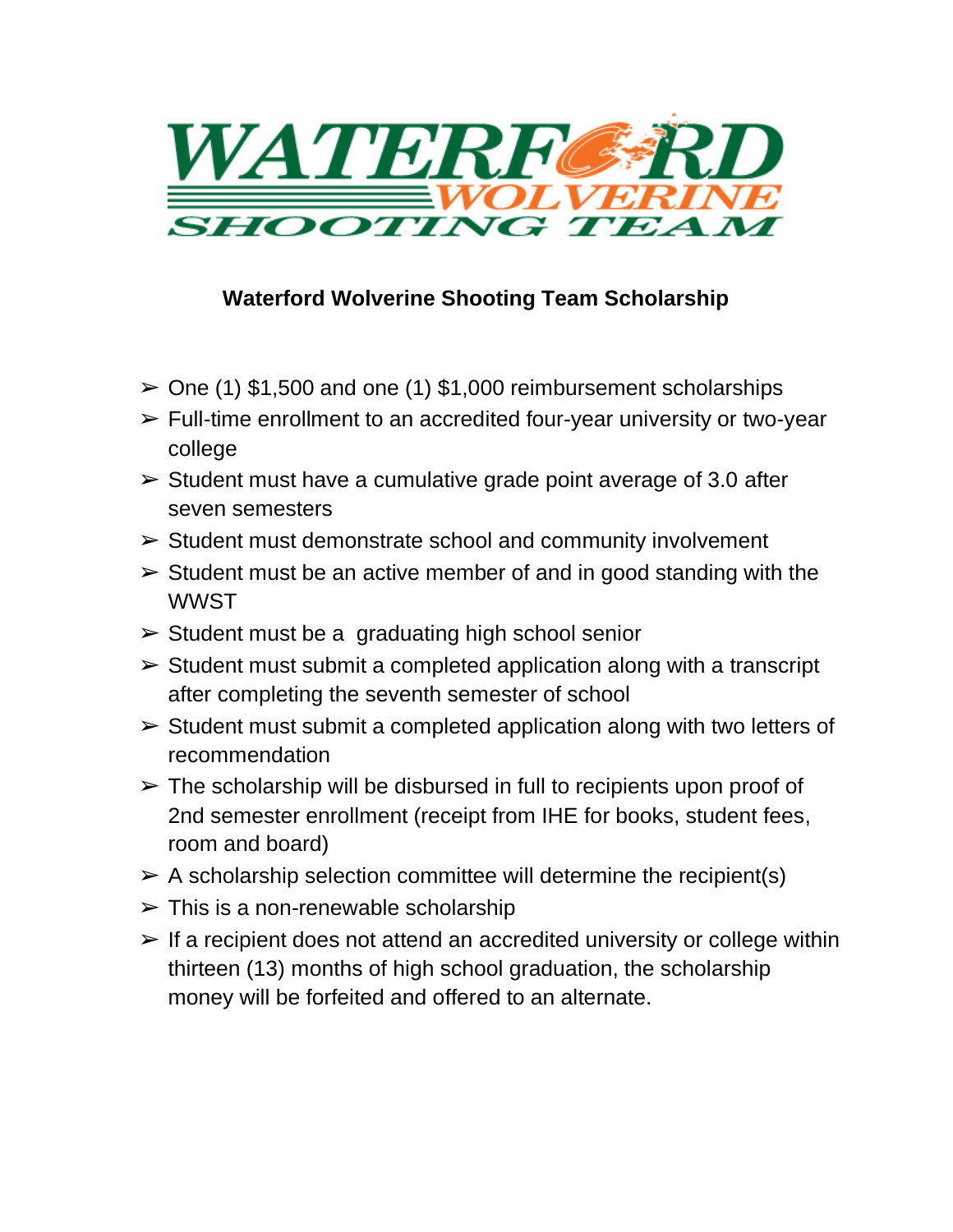

## **Waterford Wolverine Shooting Team Scholarship**

- $\ge$  One (1) \$1,500 and one (1) \$1,000 reimbursement scholarships
- ➢ Full-time enrollment to an accredited four-year university or two-year college
- $\triangleright$  Student must have a cumulative grade point average of 3.0 after seven semesters
- ➢ Student must demonstrate school and community involvement
- $\triangleright$  Student must be an active member of and in good standing with the **WWST**
- $\triangleright$  Student must be a graduating high school senior
- $\triangleright$  Student must submit a completed application along with a transcript after completing the seventh semester of school
- $\triangleright$  Student must submit a completed application along with two letters of recommendation
- $\triangleright$  The scholarship will be disbursed in full to recipients upon proof of 2nd semester enrollment (receipt from IHE for books, student fees, room and board)
- $\triangleright$  A scholarship selection committee will determine the recipient(s)
- $\triangleright$  This is a non-renewable scholarship
- $\triangleright$  If a recipient does not attend an accredited university or college within thirteen (13) months of high school graduation, the scholarship money will be forfeited and offered to an alternate.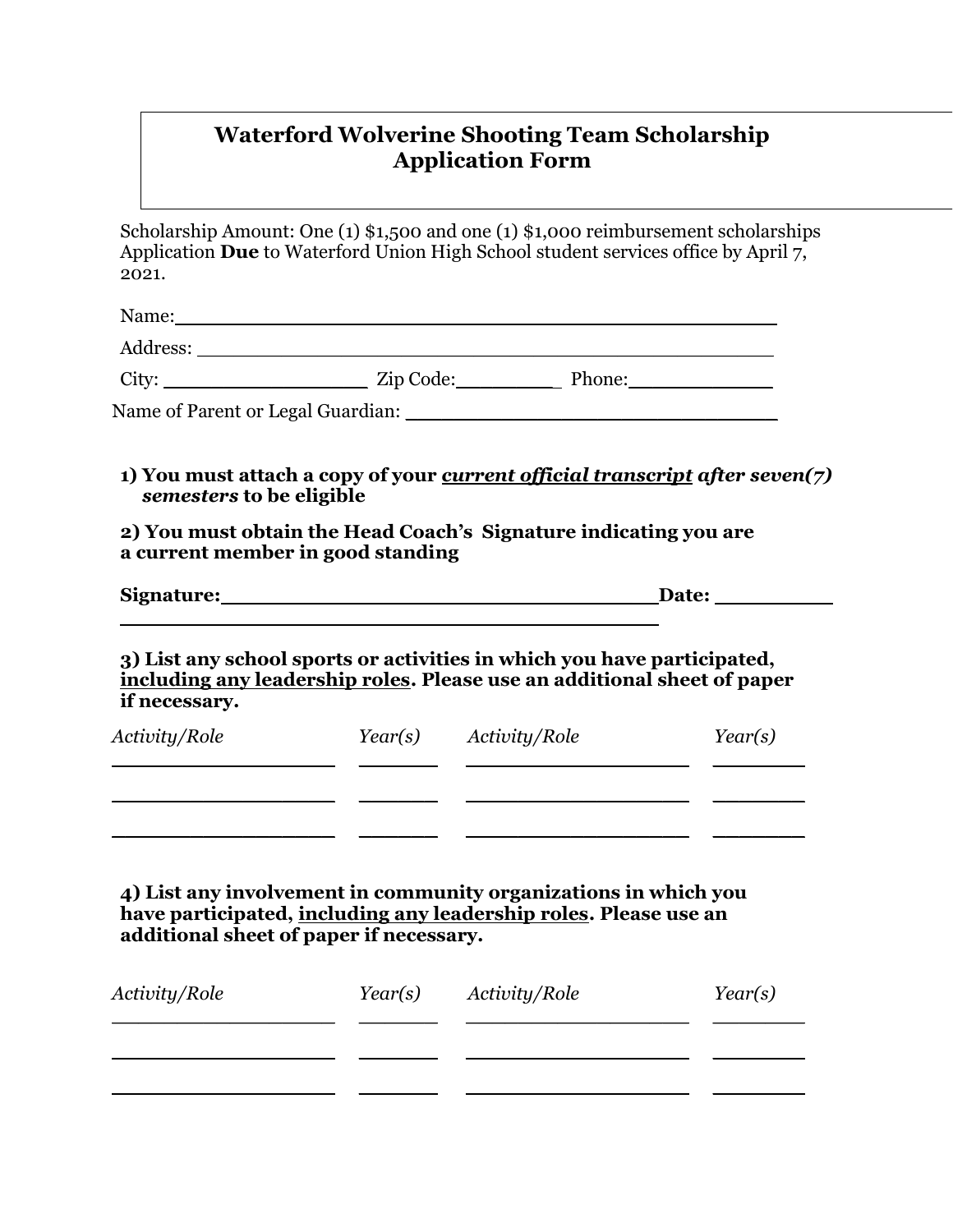## **Waterford Wolverine Shooting Team Scholarship Application Form**

Scholarship Amount: One (1) \$1,500 and one (1) \$1,000 reimbursement scholarships Application **Due** to Waterford Union High School student services office by April 7, 2021.

| semesters to be eligible                |                                                                                                                                     | 1) You must attach a copy of your <i>current official transcript after seven(7)</i> |  |
|-----------------------------------------|-------------------------------------------------------------------------------------------------------------------------------------|-------------------------------------------------------------------------------------|--|
| a current member in good standing       | 2) You must obtain the Head Coach's Signature indicating you are                                                                    |                                                                                     |  |
|                                         | Signature: Signature:                                                                                                               |                                                                                     |  |
| if necessary.<br>Activity/Role          | including any leadership roles. Please use an additional sheet of paper<br>Year(s) Activity/Role                                    | Year(s)                                                                             |  |
| additional sheet of paper if necessary. | 4) List any involvement in community organizations in which you<br>have participated, including any leadership roles. Please use an |                                                                                     |  |
| Activity/Role                           | Year(s) Activity/Role                                                                                                               | Year(s)                                                                             |  |
|                                         |                                                                                                                                     |                                                                                     |  |

**\_\_\_\_\_\_\_\_\_\_\_\_\_\_\_\_\_ \_\_\_\_\_\_ \_\_\_\_\_\_\_\_\_\_\_\_\_\_\_\_\_ \_\_\_\_\_\_\_**